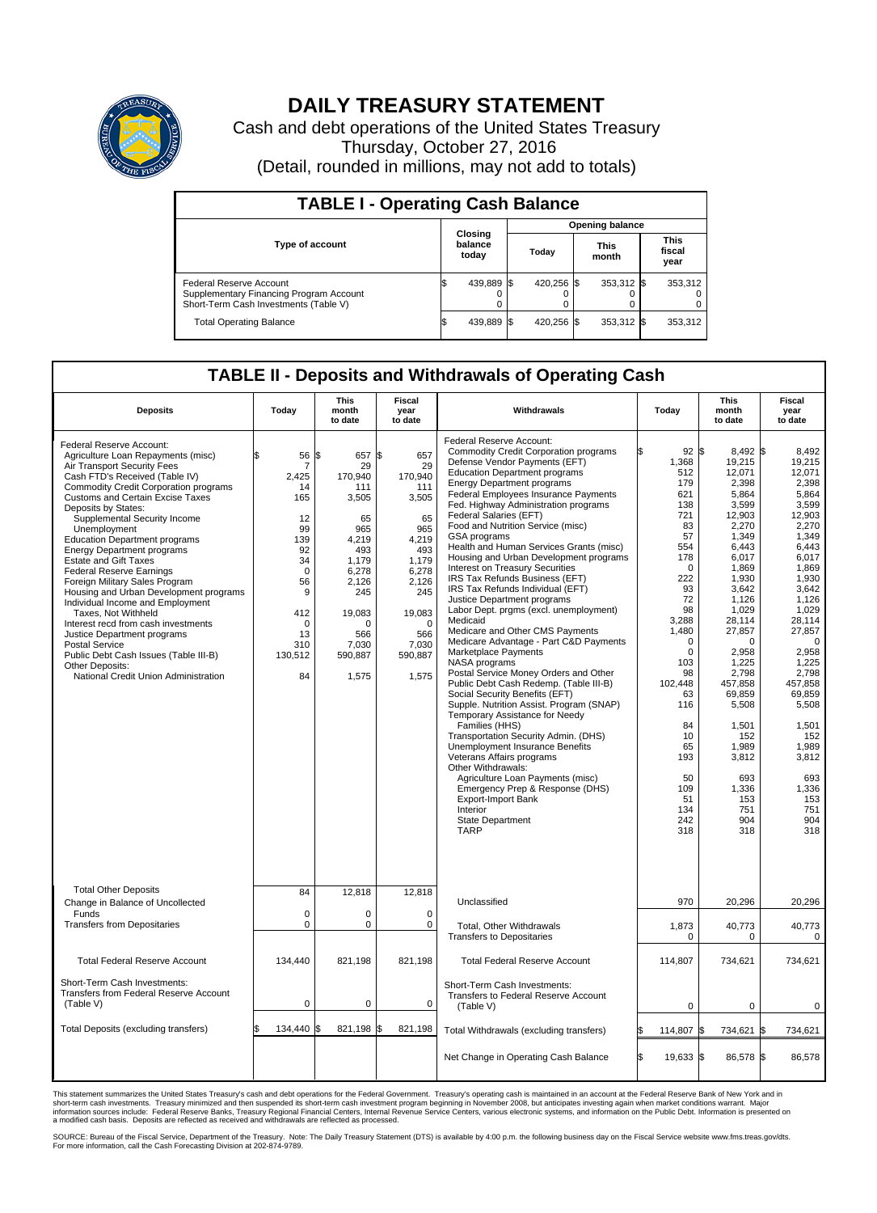

## **DAILY TREASURY STATEMENT**

Cash and debt operations of the United States Treasury Thursday, October 27, 2016 (Detail, rounded in millions, may not add to totals)

| <b>TABLE I - Operating Cash Balance</b>                                                                     |                             |            |                        |            |                      |            |  |                               |  |  |
|-------------------------------------------------------------------------------------------------------------|-----------------------------|------------|------------------------|------------|----------------------|------------|--|-------------------------------|--|--|
|                                                                                                             | Closing<br>balance<br>today |            | <b>Opening balance</b> |            |                      |            |  |                               |  |  |
| <b>Type of account</b>                                                                                      |                             |            | Todav                  |            | <b>This</b><br>month |            |  | <b>This</b><br>fiscal<br>year |  |  |
| Federal Reserve Account<br>Supplementary Financing Program Account<br>Short-Term Cash Investments (Table V) |                             | 439,889 \$ |                        | 420.256 \$ |                      | 353,312 \$ |  | 353,312                       |  |  |
| <b>Total Operating Balance</b>                                                                              |                             | 439,889 \$ |                        | 420.256 \$ |                      | 353,312 \$ |  | 353,312                       |  |  |

## **TABLE II - Deposits and Withdrawals of Operating Cash**

| <b>Deposits</b>                                                                                                                                                                                                                                                                                                                                                                                                                                                                                                                                                                                                                                                                                                                                                                             | Today                                                                                                                                                   | <b>This</b><br>month<br>to date                                                                                                                                  | <b>Fiscal</b><br>year<br>to date                                                                                                                                 | Withdrawals                                                                                                                                                                                                                                                                                                                                                                                                                                                                                                                                                                                                                                                                                                                                                                                                                                                                                                                                                                                                                                                                                                                                                                                                                                                                 | Today                                                                                                                                                                                                                                                   | <b>This</b><br>month<br>to date                                                                                                                                                                                                                                                                                              | <b>Fiscal</b><br>year<br>to date                                                                                                                                                                                                                                                                                       |  |  |
|---------------------------------------------------------------------------------------------------------------------------------------------------------------------------------------------------------------------------------------------------------------------------------------------------------------------------------------------------------------------------------------------------------------------------------------------------------------------------------------------------------------------------------------------------------------------------------------------------------------------------------------------------------------------------------------------------------------------------------------------------------------------------------------------|---------------------------------------------------------------------------------------------------------------------------------------------------------|------------------------------------------------------------------------------------------------------------------------------------------------------------------|------------------------------------------------------------------------------------------------------------------------------------------------------------------|-----------------------------------------------------------------------------------------------------------------------------------------------------------------------------------------------------------------------------------------------------------------------------------------------------------------------------------------------------------------------------------------------------------------------------------------------------------------------------------------------------------------------------------------------------------------------------------------------------------------------------------------------------------------------------------------------------------------------------------------------------------------------------------------------------------------------------------------------------------------------------------------------------------------------------------------------------------------------------------------------------------------------------------------------------------------------------------------------------------------------------------------------------------------------------------------------------------------------------------------------------------------------------|---------------------------------------------------------------------------------------------------------------------------------------------------------------------------------------------------------------------------------------------------------|------------------------------------------------------------------------------------------------------------------------------------------------------------------------------------------------------------------------------------------------------------------------------------------------------------------------------|------------------------------------------------------------------------------------------------------------------------------------------------------------------------------------------------------------------------------------------------------------------------------------------------------------------------|--|--|
| Federal Reserve Account:<br>Agriculture Loan Repayments (misc)<br>Air Transport Security Fees<br>Cash FTD's Received (Table IV)<br><b>Commodity Credit Corporation programs</b><br><b>Customs and Certain Excise Taxes</b><br>Deposits by States:<br>Supplemental Security Income<br>Unemployment<br><b>Education Department programs</b><br><b>Energy Department programs</b><br><b>Estate and Gift Taxes</b><br><b>Federal Reserve Earnings</b><br>Foreign Military Sales Program<br>Housing and Urban Development programs<br>Individual Income and Employment<br>Taxes, Not Withheld<br>Interest recd from cash investments<br>Justice Department programs<br><b>Postal Service</b><br>Public Debt Cash Issues (Table III-B)<br>Other Deposits:<br>National Credit Union Administration | 56<br>$\overline{7}$<br>2,425<br>14<br>165<br>12<br>99<br>139<br>92<br>34<br>$\mathbf 0$<br>56<br>9<br>412<br>$\mathbf 0$<br>13<br>310<br>130,512<br>84 | 657 \$<br>1\$<br>29<br>170,940<br>111<br>3,505<br>65<br>965<br>4.219<br>493<br>1.179<br>6.278<br>2,126<br>245<br>19,083<br>n<br>566<br>7,030<br>590,887<br>1,575 | 657<br>29<br>170,940<br>111<br>3,505<br>65<br>965<br>4.219<br>493<br>1,179<br>6.278<br>2,126<br>245<br>19,083<br>$\mathbf 0$<br>566<br>7,030<br>590,887<br>1,575 | Federal Reserve Account:<br><b>Commodity Credit Corporation programs</b><br>Defense Vendor Payments (EFT)<br><b>Education Department programs</b><br><b>Energy Department programs</b><br>Federal Employees Insurance Payments<br>Fed. Highway Administration programs<br>Federal Salaries (EFT)<br>Food and Nutrition Service (misc)<br><b>GSA</b> programs<br>Health and Human Services Grants (misc)<br>Housing and Urban Development programs<br>Interest on Treasury Securities<br>IRS Tax Refunds Business (EFT)<br>IRS Tax Refunds Individual (EFT)<br>Justice Department programs<br>Labor Dept. prgms (excl. unemployment)<br>Medicaid<br>Medicare and Other CMS Payments<br>Medicare Advantage - Part C&D Payments<br>Marketplace Payments<br>NASA programs<br>Postal Service Money Orders and Other<br>Public Debt Cash Redemp. (Table III-B)<br>Social Security Benefits (EFT)<br>Supple. Nutrition Assist. Program (SNAP)<br>Temporary Assistance for Needy<br>Families (HHS)<br>Transportation Security Admin. (DHS)<br>Unemployment Insurance Benefits<br>Veterans Affairs programs<br>Other Withdrawals:<br>Agriculture Loan Payments (misc)<br>Emergency Prep & Response (DHS)<br><b>Export-Import Bank</b><br>Interior<br>State Department<br><b>TARP</b> | 92S<br>1,368<br>512<br>179<br>621<br>138<br>721<br>83<br>57<br>554<br>178<br>$\Omega$<br>222<br>93<br>72<br>98<br>3,288<br>1,480<br>$\Omega$<br>0<br>103<br>98<br>102.448<br>63<br>116<br>84<br>10<br>65<br>193<br>50<br>109<br>51<br>134<br>242<br>318 | $8.492$ \\$<br>19,215<br>12,071<br>2,398<br>5,864<br>3,599<br>12,903<br>2,270<br>1,349<br>6,443<br>6,017<br>1,869<br>1.930<br>3,642<br>1.126<br>1,029<br>28,114<br>27,857<br>$\Omega$<br>2,958<br>1,225<br>2,798<br>457,858<br>69,859<br>5,508<br>1,501<br>152<br>1.989<br>3,812<br>693<br>1,336<br>153<br>751<br>904<br>318 | 8,492<br>19,215<br>12.071<br>2.398<br>5,864<br>3,599<br>12.903<br>2,270<br>1,349<br>6.443<br>6,017<br>1,869<br>1.930<br>3,642<br>1.126<br>1,029<br>28,114<br>27,857<br>$\Omega$<br>2,958<br>1,225<br>2,798<br>457.858<br>69,859<br>5,508<br>1,501<br>152<br>1,989<br>3,812<br>693<br>1,336<br>153<br>751<br>904<br>318 |  |  |
| <b>Total Other Deposits</b><br>Change in Balance of Uncollected<br>Funds<br><b>Transfers from Depositaries</b>                                                                                                                                                                                                                                                                                                                                                                                                                                                                                                                                                                                                                                                                              | 84<br>$\mathbf 0$<br>$\mathbf 0$                                                                                                                        | 12,818<br>0<br>0                                                                                                                                                 | 12,818<br>$\mathbf 0$<br>0                                                                                                                                       | Unclassified<br>Total, Other Withdrawals<br><b>Transfers to Depositaries</b>                                                                                                                                                                                                                                                                                                                                                                                                                                                                                                                                                                                                                                                                                                                                                                                                                                                                                                                                                                                                                                                                                                                                                                                                | 970<br>1,873<br>$\mathbf 0$                                                                                                                                                                                                                             | 20,296<br>40,773<br>0                                                                                                                                                                                                                                                                                                        | 20,296<br>40,773<br>$\mathbf 0$                                                                                                                                                                                                                                                                                        |  |  |
| <b>Total Federal Reserve Account</b>                                                                                                                                                                                                                                                                                                                                                                                                                                                                                                                                                                                                                                                                                                                                                        | 134,440                                                                                                                                                 | 821,198                                                                                                                                                          | 821,198                                                                                                                                                          | <b>Total Federal Reserve Account</b>                                                                                                                                                                                                                                                                                                                                                                                                                                                                                                                                                                                                                                                                                                                                                                                                                                                                                                                                                                                                                                                                                                                                                                                                                                        | 114,807                                                                                                                                                                                                                                                 | 734,621                                                                                                                                                                                                                                                                                                                      | 734,621                                                                                                                                                                                                                                                                                                                |  |  |
| Short-Term Cash Investments:<br><b>Transfers from Federal Reserve Account</b><br>(Table V)                                                                                                                                                                                                                                                                                                                                                                                                                                                                                                                                                                                                                                                                                                  | 0                                                                                                                                                       | 0                                                                                                                                                                | 0                                                                                                                                                                | Short-Term Cash Investments:<br>Transfers to Federal Reserve Account<br>(Table V)                                                                                                                                                                                                                                                                                                                                                                                                                                                                                                                                                                                                                                                                                                                                                                                                                                                                                                                                                                                                                                                                                                                                                                                           | $\mathbf 0$                                                                                                                                                                                                                                             | $\mathbf 0$                                                                                                                                                                                                                                                                                                                  | 0                                                                                                                                                                                                                                                                                                                      |  |  |
| Total Deposits (excluding transfers)                                                                                                                                                                                                                                                                                                                                                                                                                                                                                                                                                                                                                                                                                                                                                        | 134,440                                                                                                                                                 | 821,198<br>ፍ                                                                                                                                                     | \$<br>821,198                                                                                                                                                    | Total Withdrawals (excluding transfers)                                                                                                                                                                                                                                                                                                                                                                                                                                                                                                                                                                                                                                                                                                                                                                                                                                                                                                                                                                                                                                                                                                                                                                                                                                     | 114,807 \$                                                                                                                                                                                                                                              | 734,621                                                                                                                                                                                                                                                                                                                      | 1\$<br>734,621                                                                                                                                                                                                                                                                                                         |  |  |
|                                                                                                                                                                                                                                                                                                                                                                                                                                                                                                                                                                                                                                                                                                                                                                                             |                                                                                                                                                         |                                                                                                                                                                  |                                                                                                                                                                  | Net Change in Operating Cash Balance                                                                                                                                                                                                                                                                                                                                                                                                                                                                                                                                                                                                                                                                                                                                                                                                                                                                                                                                                                                                                                                                                                                                                                                                                                        | l\$<br>19,633 \$                                                                                                                                                                                                                                        | 86,578 \$                                                                                                                                                                                                                                                                                                                    | 86,578                                                                                                                                                                                                                                                                                                                 |  |  |

This statement summarizes the United States Treasury's cash and debt operations for the Federal Government. Treasury's operating cash is maintained in an account at the Federal Reserve Bank of New York and in<br>short-term ca

SOURCE: Bureau of the Fiscal Service, Department of the Treasury. Note: The Daily Treasury Statement (DTS) is available by 4:00 p.m. the following business day on the Fiscal Service website www.fms.treas.gov/dts.<br>For more